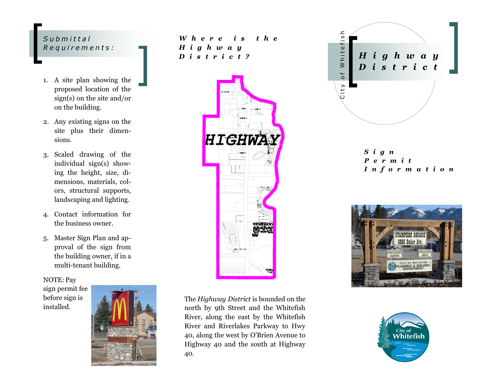### *S u b m i t t a l R e q u i r e m e n t s :*

- 1. A site plan showing the proposed location of the sign(s) on the site and/or on the building.
- 2. Any existing signs on the site plus their dimensions.
- 3. Scaled drawing of the individual sign(s) showing the height, size, dimensions, materials, colors, structural supports, landscaping and lighting.
- 4. Contact information for the business owner.
- 5. Master Sign Plan and approval of the sign from the building owner, if in a multi-tenant building.

NOTE: Pay sign permit fee before sign is

installed.



*W h e r e i s t h e H i g h w a y D i s t r i c t ?*



The *Highway District* is bounded on the north by 9th Street and the Whitefish River, along the east by the Whitefish River and Riverlakes Parkway to Hwy 40, along the west by O'Brien Avenue to Highway 40 and the south at Highway 40.



*S i g n P e r m i t I n f o r m a t i o n*